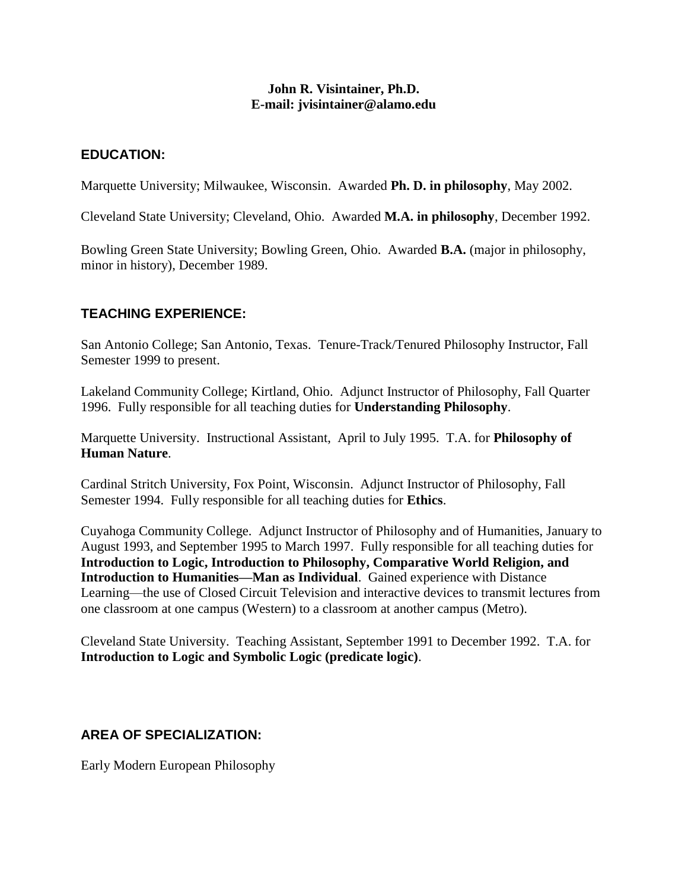### **John R. Visintainer, Ph.D. E-mail: jvisintainer@alamo.edu**

### **EDUCATION:**

Marquette University; Milwaukee, Wisconsin. Awarded **Ph. D. in philosophy**, May 2002.

Cleveland State University; Cleveland, Ohio. Awarded **M.A. in philosophy**, December 1992.

Bowling Green State University; Bowling Green, Ohio. Awarded **B.A.** (major in philosophy, minor in history), December 1989.

## **TEACHING EXPERIENCE:**

San Antonio College; San Antonio, Texas. Tenure-Track/Tenured Philosophy Instructor, Fall Semester 1999 to present.

Lakeland Community College; Kirtland, Ohio. Adjunct Instructor of Philosophy, Fall Quarter 1996. Fully responsible for all teaching duties for **Understanding Philosophy**.

Marquette University. Instructional Assistant, April to July 1995. T.A. for **Philosophy of Human Nature**.

Cardinal Stritch University, Fox Point, Wisconsin. Adjunct Instructor of Philosophy, Fall Semester 1994. Fully responsible for all teaching duties for **Ethics**.

Cuyahoga Community College. Adjunct Instructor of Philosophy and of Humanities, January to August 1993, and September 1995 to March 1997. Fully responsible for all teaching duties for **Introduction to Logic, Introduction to Philosophy, Comparative World Religion, and Introduction to Humanities—Man as Individual**. Gained experience with Distance Learning—the use of Closed Circuit Television and interactive devices to transmit lectures from one classroom at one campus (Western) to a classroom at another campus (Metro).

Cleveland State University. Teaching Assistant, September 1991 to December 1992. T.A. for **Introduction to Logic and Symbolic Logic (predicate logic)**.

# **AREA OF SPECIALIZATION:**

Early Modern European Philosophy